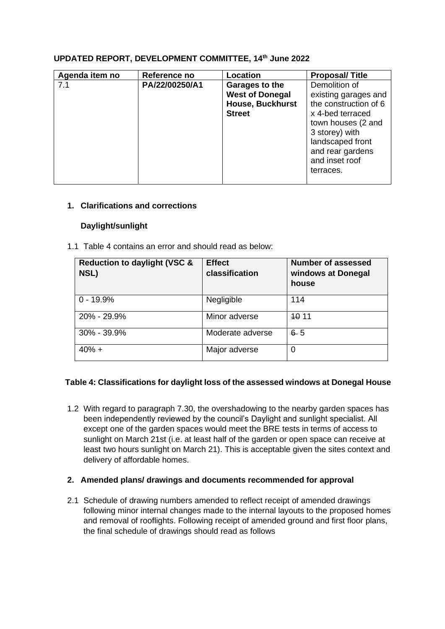## **UPDATED REPORT, DEVELOPMENT COMMITTEE, 14th June 2022**

| Agenda item no | Reference no   | <b>Location</b>         | <b>Proposal/Title</b> |
|----------------|----------------|-------------------------|-----------------------|
| 7.1            | PA/22/00250/A1 | Garages to the          | Demolition of         |
|                |                | <b>West of Donegal</b>  | existing garages and  |
|                |                | <b>House, Buckhurst</b> | the construction of 6 |
|                |                | <b>Street</b>           | x 4-bed terraced      |
|                |                |                         | town houses (2 and    |
|                |                |                         | 3 storey) with        |
|                |                |                         | landscaped front      |
|                |                |                         | and rear gardens      |
|                |                |                         | and inset roof        |
|                |                |                         | terraces.             |
|                |                |                         |                       |

## **1. Clarifications and corrections**

## **Daylight/sunlight**

1.1 Table 4 contains an error and should read as below:

| <b>Reduction to daylight (VSC &amp;</b><br>NSL) | <b>Effect</b><br>classification | <b>Number of assessed</b><br>windows at Donegal<br>house |
|-------------------------------------------------|---------------------------------|----------------------------------------------------------|
| $0 - 19.9%$                                     | Negligible                      | 114                                                      |
| 20% - 29.9%                                     | Minor adverse                   | <b>40 11</b>                                             |
| 30% - 39.9%                                     | Moderate adverse                | $6 - 5$                                                  |
| $40% +$                                         | Major adverse                   | 0                                                        |

# **Table 4: Classifications for daylight loss of the assessed windows at Donegal House**

1.2 With regard to paragraph 7.30, the overshadowing to the nearby garden spaces has been independently reviewed by the council's Daylight and sunlight specialist. All except one of the garden spaces would meet the BRE tests in terms of access to sunlight on March 21st (i.e. at least half of the garden or open space can receive at least two hours sunlight on March 21). This is acceptable given the sites context and delivery of affordable homes.

# **2. Amended plans/ drawings and documents recommended for approval**

2.1 Schedule of drawing numbers amended to reflect receipt of amended drawings following minor internal changes made to the internal layouts to the proposed homes and removal of rooflights. Following receipt of amended ground and first floor plans, the final schedule of drawings should read as follows